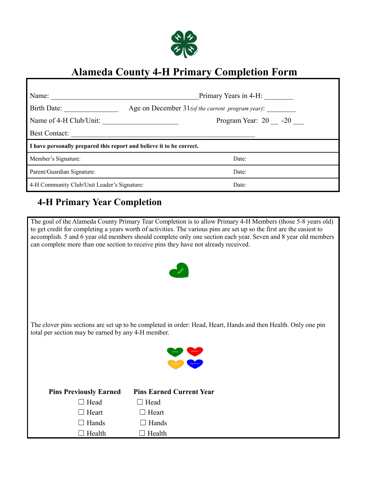

## **Alameda County 4-H Primary Completion Form**

| Name:                                                                | Primary Years in 4-H:                               |  |  |  |  |
|----------------------------------------------------------------------|-----------------------------------------------------|--|--|--|--|
| Birth Date:                                                          | Age on December $31$ (of the current program year): |  |  |  |  |
| Name of 4-H Club/Unit:                                               | Program Year: 20 -20                                |  |  |  |  |
| <b>Best Contact:</b>                                                 |                                                     |  |  |  |  |
| I have personally prepared this report and believe it to be correct. |                                                     |  |  |  |  |
|                                                                      |                                                     |  |  |  |  |
| Member's Signature:                                                  | Date:                                               |  |  |  |  |
| Parent/Guardian Signature:                                           | Date:                                               |  |  |  |  |

## **4-H Primary Year Completion**

The goal of the Alameda County Primary Tear Completion is to allow Primary 4-H Members (those 5-8 years old) to get credit for completing a years worth of activities. The various pins are set up so the first are the easiest to accomplish. 5 and 6 year old members should complete only one section each year. Seven and 8 year old members can complete more than one section to receive pins they have not already received.



The clover pins sections are set up to be completed in order: Head, Heart, Hands and then Health. Only one pin total per section may be earned by any 4-H member.



| $\Box$ Head<br>$\Box$ Head<br>$\Box$ Heart<br>$\Box$ Heart<br>$\Box$ Hands<br>$\Box$ Hands<br>Health<br>Health<br>$\Box$ | <b>Pins Previously Earned</b> | <b>Pins Earned Current Year</b> |
|--------------------------------------------------------------------------------------------------------------------------|-------------------------------|---------------------------------|
|                                                                                                                          |                               |                                 |
|                                                                                                                          |                               |                                 |
|                                                                                                                          |                               |                                 |
|                                                                                                                          |                               |                                 |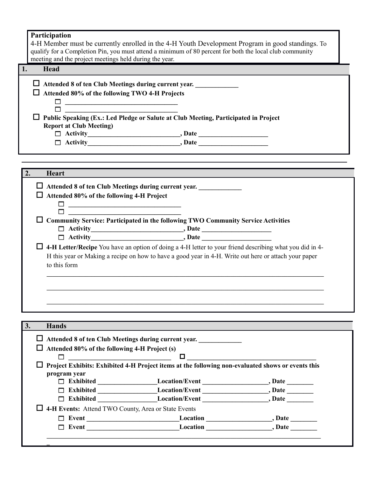|    | Participation<br>4-H Member must be currently enrolled in the 4-H Youth Development Program in good standings. To<br>qualify for a Completion Pin, you must attend a minimum of 80 percent for both the local club community<br>meeting and the project meetings held during the year.                                                                                                                                                            |
|----|---------------------------------------------------------------------------------------------------------------------------------------------------------------------------------------------------------------------------------------------------------------------------------------------------------------------------------------------------------------------------------------------------------------------------------------------------|
| 1. | Head                                                                                                                                                                                                                                                                                                                                                                                                                                              |
|    | $\Box$ Attended 8 of ten Club Meetings during current year.<br>Attended 80% of the following TWO 4-H Projects<br>Public Speaking (Ex.: Led Pledge or Salute at Club Meeting, Participated in Project<br><b>Report at Club Meeting)</b><br>$\Box$ Activity $\Box$ Activity $\Box$                                                                                                                                                                  |
|    | 2.<br><b>Heart</b>                                                                                                                                                                                                                                                                                                                                                                                                                                |
|    | □ Attended 8 of ten Club Meetings during current year.<br>$\Box$ Attended 80% of the following 4-H Project<br>$\Box$ Community Service: Participated in the following TWO Community Service Activities<br>$\Box$ 4-H Letter/Recipe You have an option of doing a 4-H letter to your friend describing what you did in 4-<br>H this year or Making a recipe on how to have a good year in 4-H. Write out here or attach your paper<br>to this form |
|    | 3.<br><b>Hands</b>                                                                                                                                                                                                                                                                                                                                                                                                                                |
|    | $\Box$ Attended 8 of ten Club Meetings during current year.<br>$\Box$ Attended 80% of the following 4-H Project (s)<br>$\Box$<br>$\Box$ . The contribution of the contribution of $\Box$ . The contribution of $\Box$<br>$\Box$ Project Exhibits: Exhibited 4-H Project items at the following non-evaluated shows or events this<br>program year                                                                                                 |
|    | 4-H Events: Attend TWO County, Area or State Events                                                                                                                                                                                                                                                                                                                                                                                               |

**Event \_\_\_\_\_\_\_\_\_\_\_\_\_\_\_\_\_\_\_\_\_\_\_\_\_\_\_\_Location \_\_\_\_\_\_\_\_\_\_\_\_\_\_\_\_\_\_\_\_, Date \_\_\_\_\_\_\_\_**

**\_** 

Event **Location**<br>
Location **Location**, Date **Legacion \_\_\_\_\_\_\_\_\_\_\_\_\_\_\_\_\_\_\_\_\_\_\_\_\_\_\_\_\_\_\_\_\_\_\_\_\_\_\_\_\_\_\_\_\_\_\_\_\_\_\_\_\_\_\_\_\_\_\_\_\_\_\_\_\_\_\_\_\_\_\_\_\_\_\_\_\_\_\_\_\_\_\_\_\_\_\_\_\_\_\_**